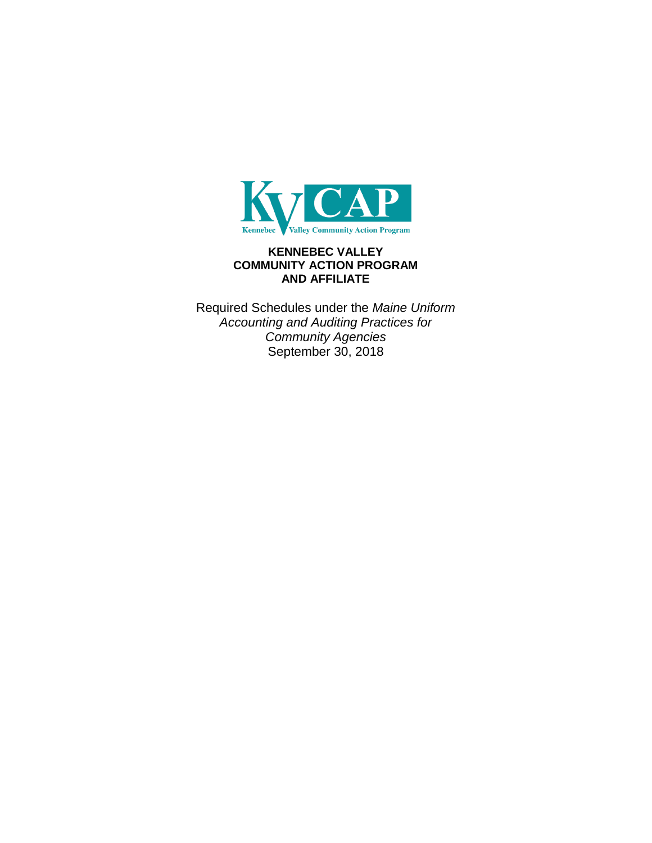

# **KENNEBEC VALLEY COMMUNITY ACTION PROGRAM AND AFFILIATE**

Required Schedules under the *Maine Uniform Accounting and Auditing Practices for Community Agencies* September 30, 2018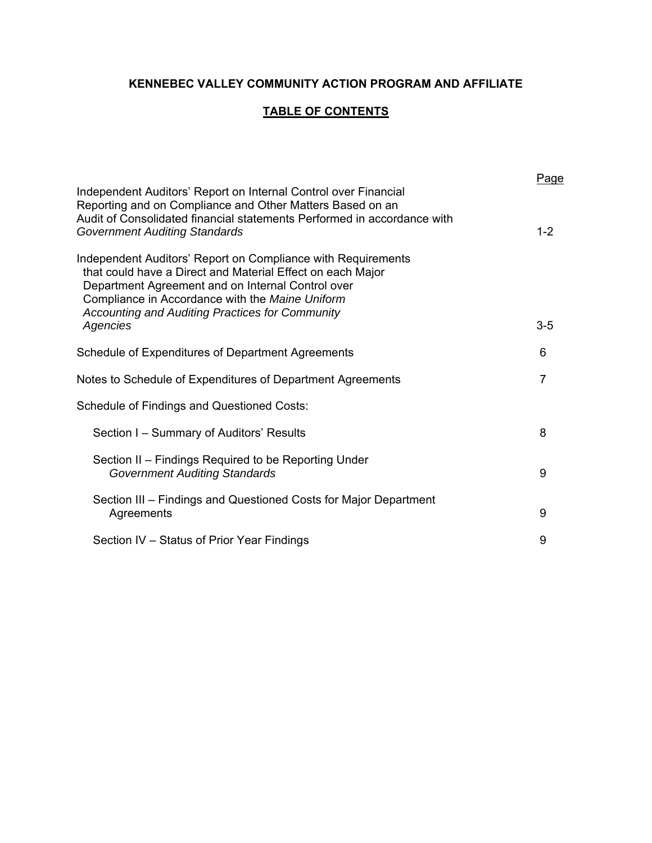# **KENNEBEC VALLEY COMMUNITY ACTION PROGRAM AND AFFILIATE**

# **TABLE OF CONTENTS**

| Independent Auditors' Report on Internal Control over Financial<br>Reporting and on Compliance and Other Matters Based on an                                                                                                                                                                 | <u>Page</u>    |
|----------------------------------------------------------------------------------------------------------------------------------------------------------------------------------------------------------------------------------------------------------------------------------------------|----------------|
| Audit of Consolidated financial statements Performed in accordance with<br><b>Government Auditing Standards</b>                                                                                                                                                                              | $1 - 2$        |
| Independent Auditors' Report on Compliance with Requirements<br>that could have a Direct and Material Effect on each Major<br>Department Agreement and on Internal Control over<br>Compliance in Accordance with the Maine Uniform<br><b>Accounting and Auditing Practices for Community</b> |                |
| Agencies                                                                                                                                                                                                                                                                                     | $3-5$          |
| Schedule of Expenditures of Department Agreements                                                                                                                                                                                                                                            | 6              |
| Notes to Schedule of Expenditures of Department Agreements                                                                                                                                                                                                                                   | $\overline{7}$ |
| Schedule of Findings and Questioned Costs:                                                                                                                                                                                                                                                   |                |
| Section I – Summary of Auditors' Results                                                                                                                                                                                                                                                     | 8              |
| Section II – Findings Required to be Reporting Under<br><b>Government Auditing Standards</b>                                                                                                                                                                                                 | 9              |
| Section III – Findings and Questioned Costs for Major Department<br>Agreements                                                                                                                                                                                                               | 9              |
| Section IV – Status of Prior Year Findings                                                                                                                                                                                                                                                   | 9              |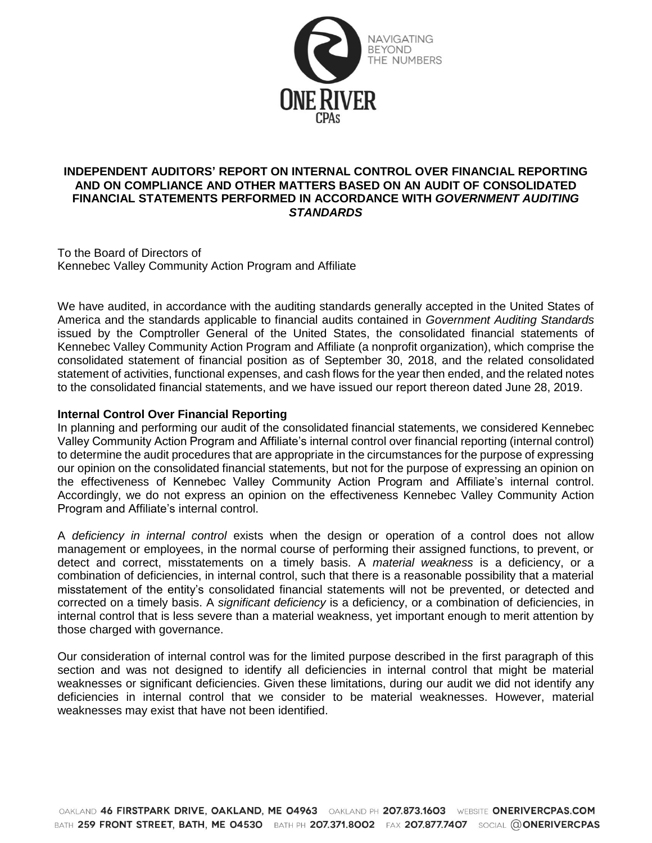

# **INDEPENDENT AUDITORS' REPORT ON INTERNAL CONTROL OVER FINANCIAL REPORTING AND ON COMPLIANCE AND OTHER MATTERS BASED ON AN AUDIT OF CONSOLIDATED FINANCIAL STATEMENTS PERFORMED IN ACCORDANCE WITH** *GOVERNMENT AUDITING STANDARDS*

To the Board of Directors of Kennebec Valley Community Action Program and Affiliate

We have audited, in accordance with the auditing standards generally accepted in the United States of America and the standards applicable to financial audits contained in *Government Auditing Standards* issued by the Comptroller General of the United States, the consolidated financial statements of Kennebec Valley Community Action Program and Affiliate (a nonprofit organization), which comprise the consolidated statement of financial position as of September 30, 2018, and the related consolidated statement of activities, functional expenses, and cash flows for the year then ended, and the related notes to the consolidated financial statements, and we have issued our report thereon dated June 28, 2019.

# **Internal Control Over Financial Reporting**

In planning and performing our audit of the consolidated financial statements, we considered Kennebec Valley Community Action Program and Affiliate's internal control over financial reporting (internal control) to determine the audit procedures that are appropriate in the circumstances for the purpose of expressing our opinion on the consolidated financial statements, but not for the purpose of expressing an opinion on the effectiveness of Kennebec Valley Community Action Program and Affiliate's internal control. Accordingly, we do not express an opinion on the effectiveness Kennebec Valley Community Action Program and Affiliate's internal control.

A *deficiency in internal control* exists when the design or operation of a control does not allow management or employees, in the normal course of performing their assigned functions, to prevent, or detect and correct, misstatements on a timely basis. A *material weakness* is a deficiency, or a combination of deficiencies, in internal control, such that there is a reasonable possibility that a material misstatement of the entity's consolidated financial statements will not be prevented, or detected and corrected on a timely basis. A *significant deficiency* is a deficiency, or a combination of deficiencies, in internal control that is less severe than a material weakness, yet important enough to merit attention by those charged with governance.

Our consideration of internal control was for the limited purpose described in the first paragraph of this section and was not designed to identify all deficiencies in internal control that might be material weaknesses or significant deficiencies. Given these limitations, during our audit we did not identify any deficiencies in internal control that we consider to be material weaknesses. However, material weaknesses may exist that have not been identified.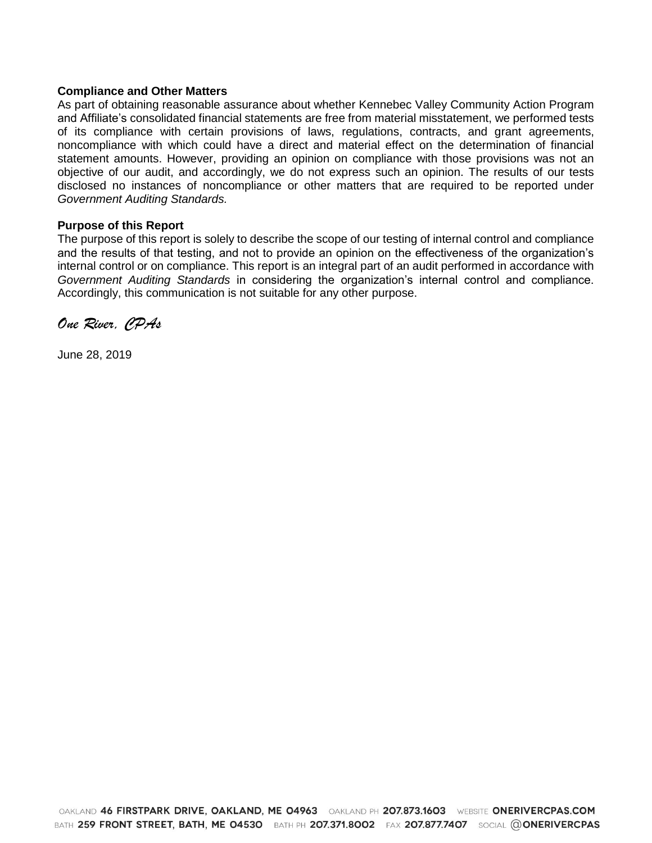#### **Compliance and Other Matters**

As part of obtaining reasonable assurance about whether Kennebec Valley Community Action Program and Affiliate's consolidated financial statements are free from material misstatement, we performed tests of its compliance with certain provisions of laws, regulations, contracts, and grant agreements, noncompliance with which could have a direct and material effect on the determination of financial statement amounts. However, providing an opinion on compliance with those provisions was not an objective of our audit, and accordingly, we do not express such an opinion. The results of our tests disclosed no instances of noncompliance or other matters that are required to be reported under *Government Auditing Standards.*

#### **Purpose of this Report**

The purpose of this report is solely to describe the scope of our testing of internal control and compliance and the results of that testing, and not to provide an opinion on the effectiveness of the organization's internal control or on compliance. This report is an integral part of an audit performed in accordance with *Government Auditing Standards* in considering the organization's internal control and compliance. Accordingly, this communication is not suitable for any other purpose.

*One River, CPAs*

June 28, 2019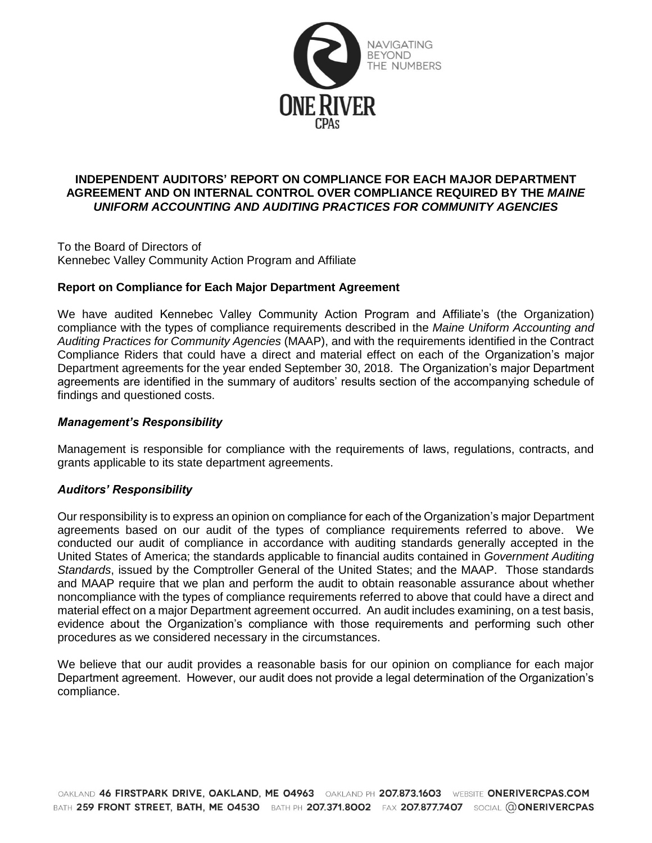

# **INDEPENDENT AUDITORS' REPORT ON COMPLIANCE FOR EACH MAJOR DEPARTMENT AGREEMENT AND ON INTERNAL CONTROL OVER COMPLIANCE REQUIRED BY THE** *MAINE UNIFORM ACCOUNTING AND AUDITING PRACTICES FOR COMMUNITY AGENCIES*

To the Board of Directors of Kennebec Valley Community Action Program and Affiliate

# **Report on Compliance for Each Major Department Agreement**

We have audited Kennebec Valley Community Action Program and Affiliate's (the Organization) compliance with the types of compliance requirements described in the *Maine Uniform Accounting and Auditing Practices for Community Agencies* (MAAP), and with the requirements identified in the Contract Compliance Riders that could have a direct and material effect on each of the Organization's major Department agreements for the year ended September 30, 2018. The Organization's major Department agreements are identified in the summary of auditors' results section of the accompanying schedule of findings and questioned costs.

#### *Management's Responsibility*

Management is responsible for compliance with the requirements of laws, regulations, contracts, and grants applicable to its state department agreements.

#### *Auditors' Responsibility*

Our responsibility is to express an opinion on compliance for each of the Organization's major Department agreements based on our audit of the types of compliance requirements referred to above. We conducted our audit of compliance in accordance with auditing standards generally accepted in the United States of America; the standards applicable to financial audits contained in *Government Auditing Standards*, issued by the Comptroller General of the United States; and the MAAP. Those standards and MAAP require that we plan and perform the audit to obtain reasonable assurance about whether noncompliance with the types of compliance requirements referred to above that could have a direct and material effect on a major Department agreement occurred. An audit includes examining, on a test basis, evidence about the Organization's compliance with those requirements and performing such other procedures as we considered necessary in the circumstances.

We believe that our audit provides a reasonable basis for our opinion on compliance for each major Department agreement. However, our audit does not provide a legal determination of the Organization's compliance.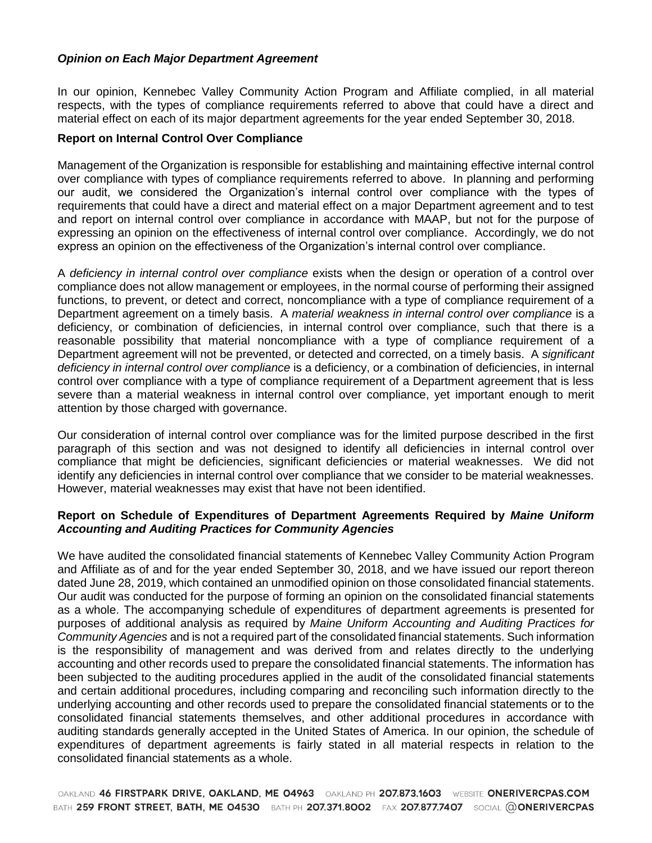# *Opinion on Each Major Department Agreement*

In our opinion, Kennebec Valley Community Action Program and Affiliate complied, in all material respects, with the types of compliance requirements referred to above that could have a direct and material effect on each of its major department agreements for the year ended September 30, 2018.

#### **Report on Internal Control Over Compliance**

Management of the Organization is responsible for establishing and maintaining effective internal control over compliance with types of compliance requirements referred to above. In planning and performing our audit, we considered the Organization's internal control over compliance with the types of requirements that could have a direct and material effect on a major Department agreement and to test and report on internal control over compliance in accordance with MAAP, but not for the purpose of expressing an opinion on the effectiveness of internal control over compliance. Accordingly, we do not express an opinion on the effectiveness of the Organization's internal control over compliance.

A *deficiency in internal control over compliance* exists when the design or operation of a control over compliance does not allow management or employees, in the normal course of performing their assigned functions, to prevent, or detect and correct, noncompliance with a type of compliance requirement of a Department agreement on a timely basis. A *material weakness in internal control over compliance* is a deficiency, or combination of deficiencies, in internal control over compliance, such that there is a reasonable possibility that material noncompliance with a type of compliance requirement of a Department agreement will not be prevented, or detected and corrected, on a timely basis. A *significant deficiency in internal control over compliance* is a deficiency, or a combination of deficiencies, in internal control over compliance with a type of compliance requirement of a Department agreement that is less severe than a material weakness in internal control over compliance, yet important enough to merit attention by those charged with governance.

Our consideration of internal control over compliance was for the limited purpose described in the first paragraph of this section and was not designed to identify all deficiencies in internal control over compliance that might be deficiencies, significant deficiencies or material weaknesses. We did not identify any deficiencies in internal control over compliance that we consider to be material weaknesses. However, material weaknesses may exist that have not been identified.

# **Report on Schedule of Expenditures of Department Agreements Required by** *Maine Uniform Accounting and Auditing Practices for Community Agencies*

We have audited the consolidated financial statements of Kennebec Valley Community Action Program and Affiliate as of and for the year ended September 30, 2018, and we have issued our report thereon dated June 28, 2019, which contained an unmodified opinion on those consolidated financial statements. Our audit was conducted for the purpose of forming an opinion on the consolidated financial statements as a whole. The accompanying schedule of expenditures of department agreements is presented for purposes of additional analysis as required by *Maine Uniform Accounting and Auditing Practices for Community Agencies* and is not a required part of the consolidated financial statements. Such information is the responsibility of management and was derived from and relates directly to the underlying accounting and other records used to prepare the consolidated financial statements. The information has been subjected to the auditing procedures applied in the audit of the consolidated financial statements and certain additional procedures, including comparing and reconciling such information directly to the underlying accounting and other records used to prepare the consolidated financial statements or to the consolidated financial statements themselves, and other additional procedures in accordance with auditing standards generally accepted in the United States of America. In our opinion, the schedule of expenditures of department agreements is fairly stated in all material respects in relation to the consolidated financial statements as a whole.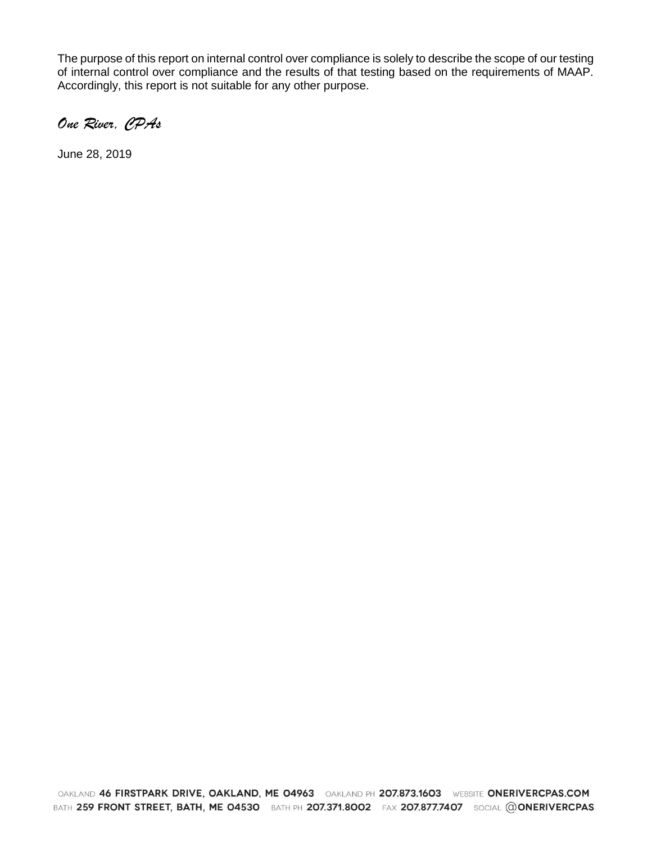The purpose of this report on internal control over compliance is solely to describe the scope of our testing of internal control over compliance and the results of that testing based on the requirements of MAAP. Accordingly, this report is not suitable for any other purpose.

*One River, CPAs*

June 28, 2019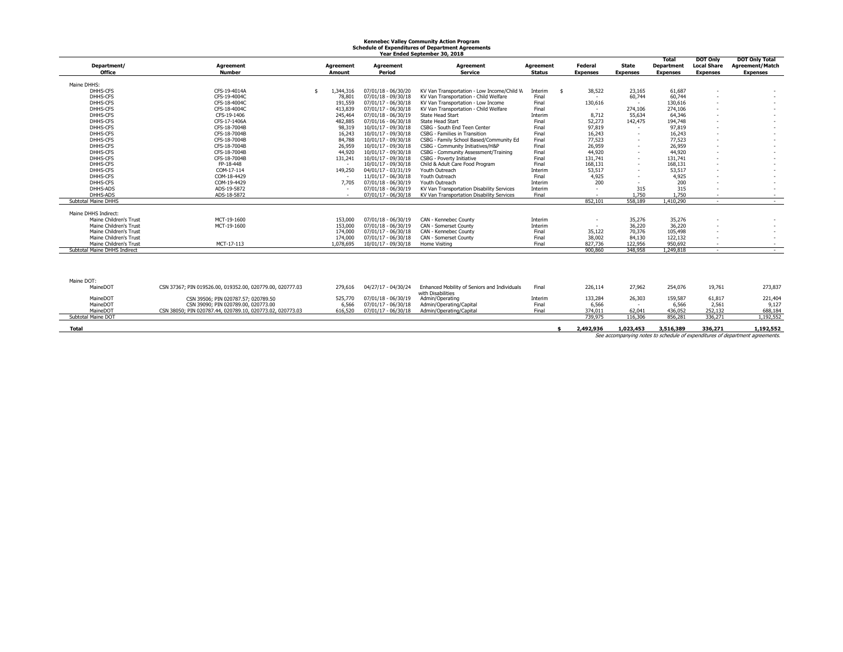# **Kennebec Valley Community Action Program Schedule of Expenditures of Department Agreements Year Ended September 30, 2018**

|                              |                                                           |           |                       | car chaca scotchiber so, cort                |                  |                 |                 | Total           | <b>DOT Only</b>    | <b>DOT Only Total</b>  |
|------------------------------|-----------------------------------------------------------|-----------|-----------------------|----------------------------------------------|------------------|-----------------|-----------------|-----------------|--------------------|------------------------|
|                              |                                                           |           |                       |                                              |                  |                 |                 |                 |                    |                        |
| Department/                  | <b>Agreement</b>                                          | Agreement | Agreement             | Agreement                                    | <b>Agreement</b> | Federal         | State           | Department      | <b>Local Share</b> | <b>Agreement/Match</b> |
| <b>Office</b>                | <b>Number</b>                                             | Amount    | Period                | <b>Service</b>                               | <b>Status</b>    | <b>Expenses</b> | <b>Expenses</b> | <b>Expenses</b> | <b>Expenses</b>    | <b>Expenses</b>        |
| Maine DHHS:                  |                                                           |           |                       |                                              |                  |                 |                 |                 |                    |                        |
| DHHS-CFS                     | CFS-19-4014A                                              | 1,344,316 | 07/01/18 - 06/30/20   |                                              |                  | 38,522          | 23,165          | 61,687          |                    |                        |
|                              |                                                           |           |                       | KV Van Transportation - Low Income/Child W   | Interim<br>- \$  |                 |                 | 60.744          |                    |                        |
| DHHS-CFS                     | CFS-19-4004C                                              | 78,801    | 07/01/18 - 09/30/18   | KV Van Transportation - Child Welfare        | Final            |                 | 60.744          |                 |                    |                        |
| DHHS-CFS                     | CFS-18-4004C                                              | 191,559   | 07/01/17 - 06/30/18   | KV Van Transportation - Low Income           | Final            | 130,616         |                 | 130,616         |                    |                        |
| DHHS-CFS                     | CFS-18-4004C                                              | 413,839   | $07/01/17 - 06/30/18$ | KV Van Transportation - Child Welfare        | Final            | $\sim$          | 274,106         | 274,106         |                    |                        |
| DHHS-CFS                     | CFS-19-1406                                               | 245,464   | 07/01/18 - 06/30/19   | <b>State Head Start</b>                      | Interim          | 8,712           | 55,634          | 64,346          |                    |                        |
| DHHS-CFS                     | CFS-17-1406A                                              | 482,885   | $07/01/16 - 06/30/18$ | <b>State Head Start</b>                      | Final            | 52,273          | 142,475         | 194,748         |                    |                        |
| DHHS-CFS                     | CFS-18-7004B                                              | 98,319    | $10/01/17 - 09/30/18$ | CSBG - South End Teen Center                 | Final            | 97,819          |                 | 97,819          |                    |                        |
| DHHS-CFS                     | CFS-18-7004B                                              | 16,243    | 10/01/17 - 09/30/18   | <b>CSBG</b> - Families in Transition         | Final            | 16,243          |                 | 16,243          | ۰                  |                        |
| DHHS-CFS                     | CFS-18-7004B                                              | 84,788    | $10/01/17 - 09/30/18$ | CSBG - Family School Based/Community Ed      | Final            | 77,523          |                 | 77,523          |                    |                        |
| DHHS-CFS                     | CFS-18-7004B                                              | 26,959    | $10/01/17 - 09/30/18$ | CSBG - Community Initiatives/H&P             | Final            | 26,959          |                 | 26,959          |                    |                        |
| DHHS-CFS                     | CFS-18-7004B                                              | 44,920    | $10/01/17 - 09/30/18$ | CSBG - Community Assessment/Training         | Final            | 44,920          |                 | 44,920          |                    |                        |
| DHHS-CFS                     | CFS-18-7004B                                              | 131,241   | 10/01/17 - 09/30/18   | CSBG - Poverty Initiative                    | Final            | 131,741         |                 | 131,741         |                    |                        |
| DHHS-CFS                     | FP-18-448                                                 |           | $10/01/17 - 09/30/18$ | Child & Adult Care Food Program              | Final            | 168,131         |                 | 168,131         |                    |                        |
| DHHS-CFS                     | COM-17-114                                                | 149,250   | 04/01/17 - 03/31/19   | Youth Outreach                               | Interim          | 53,517          |                 | 53,517          |                    |                        |
| DHHS-CFS                     | COM-18-4429                                               |           | 11/01/17 - 06/30/18   | Youth Outreach                               | Final            | 4,925           |                 | 4,925           | ۰                  |                        |
| DHHS-CFS                     | COM-19-4429                                               | 7.705     | 07/01/18 - 06/30/19   | Youth Outreach                               | Interim          | 200             |                 | 200             |                    |                        |
| DHHS-ADS                     | ADS-19-5872                                               |           | 07/01/18 - 06/30/19   | KV Van Transportation Disability Services    | Interim          |                 | 315             | 315             |                    |                        |
| DHHS-ADS                     | ADS-18-5872                                               |           | $07/01/17 - 06/30/18$ | KV Van Transportation Disability Services    | Final            | ٠               | 1.750           | 1.750           | ٠                  | $\sim$                 |
| Subtotal Maine DHHS          |                                                           |           |                       |                                              |                  | 852,101         | 558.189         | 1,410,290       | $\sim$             | $\sim$                 |
|                              |                                                           |           |                       |                                              |                  |                 |                 |                 |                    |                        |
| Maine DHHS Indirect:         |                                                           |           |                       |                                              |                  |                 |                 |                 |                    |                        |
| Maine Children's Trust       | MCT-19-1600                                               | 153,000   | 07/01/18 - 06/30/19   | CAN - Kennebec County                        | Interim          | ٠               | 35,276          | 35,276          |                    |                        |
| Maine Children's Trust       | MCT-19-1600                                               | 153,000   | 07/01/18 - 06/30/19   | CAN - Somerset County                        | Interim          | $\sim$          | 36,220          | 36,220          |                    |                        |
| Maine Children's Trust       |                                                           | 174,000   | $07/01/17 - 06/30/18$ | CAN - Kennebec County                        | Final            | 35,122          | 70,376          | 105,498         |                    |                        |
| Maine Children's Trust       |                                                           | 174,000   | 07/01/17 - 06/30/18   | CAN - Somerset County                        | Final            | 38,002          | 84,130          | 122,132         |                    |                        |
| Maine Children's Trust       | MCT-17-113                                                | 1,078,695 | 10/01/17 - 09/30/18   | Home Visiting                                | Final            | 827,736         | 122,956         | 950.692         |                    | $\sim$                 |
| Subtotal Maine DHHS Indirect |                                                           |           |                       |                                              |                  | 900,860         | 348,958         | 1,249,818       | $\sim$             | $\sim$                 |
|                              |                                                           |           |                       |                                              |                  |                 |                 |                 |                    |                        |
|                              |                                                           |           |                       |                                              |                  |                 |                 |                 |                    |                        |
|                              |                                                           |           |                       |                                              |                  |                 |                 |                 |                    |                        |
|                              |                                                           |           |                       |                                              |                  |                 |                 |                 |                    |                        |
| Maine DOT:                   |                                                           |           |                       |                                              |                  |                 |                 |                 |                    |                        |
| MaineDOT                     | CSN 37367; PIN 019526.00, 019352.00, 020779.00, 020777.03 | 279,616   | 04/27/17 - 04/30/24   | Enhanced Mobility of Seniors and Individuals | Final            | 226,114         | 27,962          | 254,076         | 19,761             | 273,837                |
|                              |                                                           |           |                       | with Disabilities                            |                  |                 |                 |                 |                    |                        |
| MaineDOT                     | CSN 39506; PIN 020787.57; 020789.50                       | 525,770   | 07/01/18 - 06/30/19   | Admin/Operating                              | Interim          | 133,284         | 26,303          | 159,587         | 61,817             | 221,404                |
| MaineDOT                     | CSN 39090: PIN 020789.00, 020773.00                       | 6,566     | 07/01/17 - 06/30/18   | Admin/Operating/Capital                      | Final            | 6,566           |                 | 6,566           | 2.561              | 9,127                  |
| MaineDOT                     | CSN 38050: PIN 020787.44, 020789.10, 020773.02, 020773.03 | 616,520   | $07/01/17 - 06/30/18$ | Admin/Operating/Capital                      | Final            | 374,011         | 62.041          | 436,052         | 252,132            | 688,184                |
| Subtotal Maine DOT           |                                                           |           |                       |                                              |                  | 739,975         | 116,306         | 856,281         | 336.271            | 1.192.552              |

| 119111CDVT         | CON 30030, PIN 020767. <del>44</del> , 020769.10, 020773.02, 020773.03 | <b>010,JZU</b> | orrorritr - vorso numiny operating/capital | ,, ,, , , , | <b>UZ,UTI</b> | בט,טנד    | ے دی ہے دے | <b>000,107</b>                                                               |
|--------------------|------------------------------------------------------------------------|----------------|--------------------------------------------|-------------|---------------|-----------|------------|------------------------------------------------------------------------------|
| Subtotal Maine DOT |                                                                        |                |                                            | 739,975     | 116,306       | 856.28    | 336,271    | 1,192,552                                                                    |
|                    |                                                                        |                |                                            |             |               |           |            |                                                                              |
| Total              |                                                                        |                |                                            | 2,492,936   | 1.023.453     | 3,516,389 | 336,271    | 1,192,552                                                                    |
|                    |                                                                        |                |                                            |             |               |           |            | See accompanying notes to schedule of expenditures of department agreements. |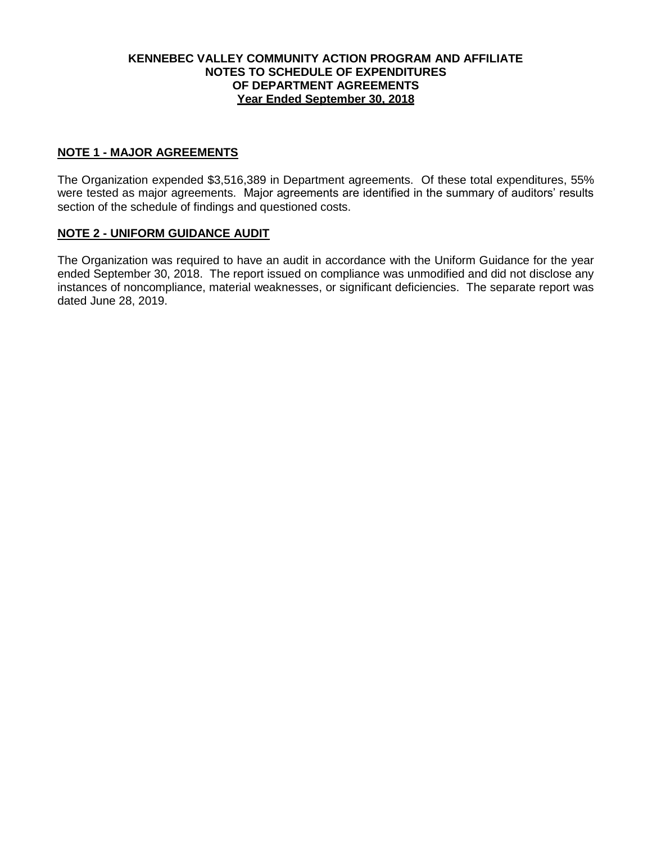# **KENNEBEC VALLEY COMMUNITY ACTION PROGRAM AND AFFILIATE NOTES TO SCHEDULE OF EXPENDITURES OF DEPARTMENT AGREEMENTS Year Ended September 30, 2018**

# **NOTE 1 - MAJOR AGREEMENTS**

The Organization expended \$3,516,389 in Department agreements. Of these total expenditures, 55% were tested as major agreements. Major agreements are identified in the summary of auditors' results section of the schedule of findings and questioned costs.

#### **NOTE 2 - UNIFORM GUIDANCE AUDIT**

The Organization was required to have an audit in accordance with the Uniform Guidance for the year ended September 30, 2018. The report issued on compliance was unmodified and did not disclose any instances of noncompliance, material weaknesses, or significant deficiencies. The separate report was dated June 28, 2019.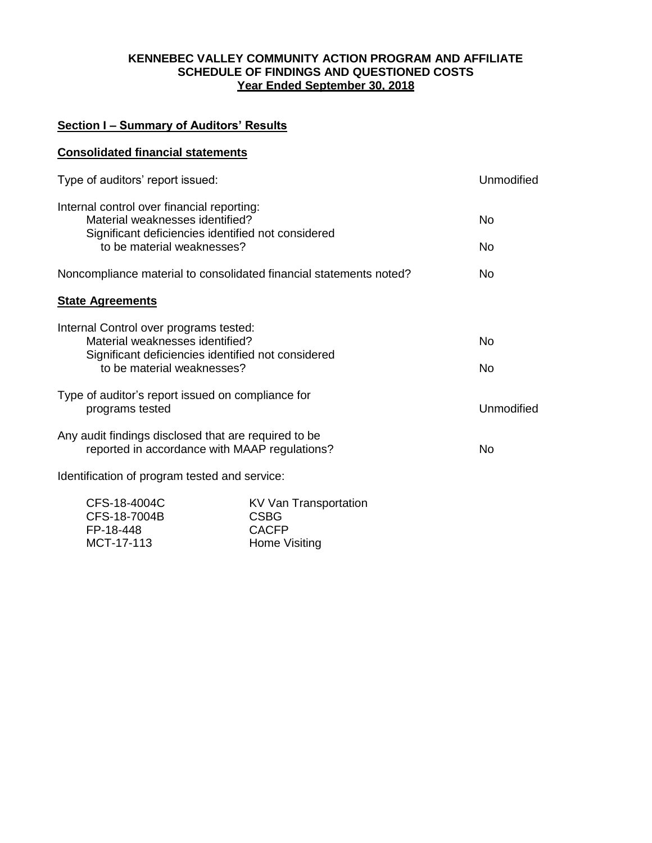# **KENNEBEC VALLEY COMMUNITY ACTION PROGRAM AND AFFILIATE SCHEDULE OF FINDINGS AND QUESTIONED COSTS Year Ended September 30, 2018**

# **Section I – Summary of Auditors' Results**

| <b>Consolidated financial statements</b>                                                                                                                          |                                                                                     |  |  |  |  |
|-------------------------------------------------------------------------------------------------------------------------------------------------------------------|-------------------------------------------------------------------------------------|--|--|--|--|
| Type of auditors' report issued:                                                                                                                                  |                                                                                     |  |  |  |  |
| Internal control over financial reporting:<br>Material weaknesses identified?<br>Significant deficiencies identified not considered<br>to be material weaknesses? |                                                                                     |  |  |  |  |
| Noncompliance material to consolidated financial statements noted?                                                                                                |                                                                                     |  |  |  |  |
| <b>State Agreements</b>                                                                                                                                           |                                                                                     |  |  |  |  |
| Internal Control over programs tested:<br>Material weaknesses identified?<br>Significant deficiencies identified not considered<br>to be material weaknesses?     |                                                                                     |  |  |  |  |
| Type of auditor's report issued on compliance for<br>programs tested                                                                                              |                                                                                     |  |  |  |  |
| Any audit findings disclosed that are required to be<br>reported in accordance with MAAP regulations?                                                             |                                                                                     |  |  |  |  |
| Identification of program tested and service:                                                                                                                     |                                                                                     |  |  |  |  |
| CFS-18-4004C<br>CFS-18-7004B<br>FP-18-448<br>MCT-17-113                                                                                                           | <b>KV Van Transportation</b><br><b>CSBG</b><br><b>CACFP</b><br><b>Home Visiting</b> |  |  |  |  |